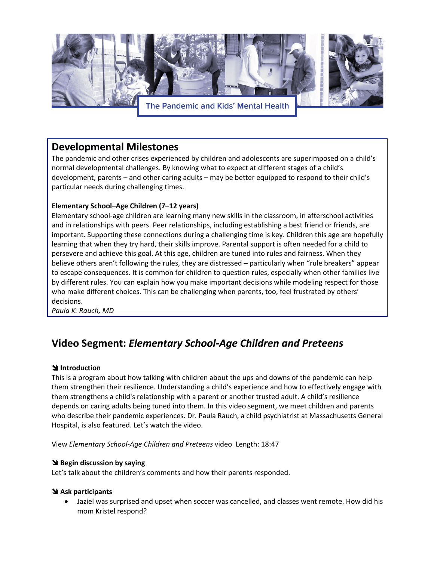

# **Developmental Milestones**

The pandemic and other crises experienced by children and adolescents are superimposed on a child's normal developmental challenges. By knowing what to expect at different stages of a child's development, parents – and other caring adults – may be better equipped to respond to their child's particular needs during challenging times.

## **Elementary School–Age Children (7–12 years)**

Elementary school-age children are learning many new skills in the classroom, in afterschool activities and in relationships with peers. Peer relationships, including establishing a best friend or friends, are important. Supporting these connections during a challenging time is key. Children this age are hopefully learning that when they try hard, their skills improve. Parental support is often needed for a child to persevere and achieve this goal. At this age, children are tuned into rules and fairness. When they believe others aren't following the rules, they are distressed – particularly when "rule breakers" appear to escape consequences. It is common for children to question rules, especially when other families live by different rules. You can explain how you make important decisions while modeling respect for those who make different choices. This can be challenging when parents, too, feel frustrated by others' decisions.

*Paula K. Rauch, MD* 

# **Video Segment:** *Elementary School-Age Children and Preteens*

### **S** Introduction

This is a program about how talking with children about the ups and downs of the pandemic can help them strengthen their resilience. Understanding a child's experience and how to effectively engage with them strengthens a child's relationship with a parent or another trusted adult. A child's resilience depends on caring adults being tuned into them. In this video segment, we meet children and parents who describe their pandemic experiences. Dr. Paula Rauch, a child psychiatrist at Massachusetts General Hospital, is also featured. Let's watch the video.

View *Elementary School-Age Children and Preteens* video Length: 18:47

### **\** Begin discussion by saying

Let's talk about the children's comments and how their parents responded.

#### ! **Ask participants**

• Jaziel was surprised and upset when soccer was cancelled, and classes went remote. How did his mom Kristel respond?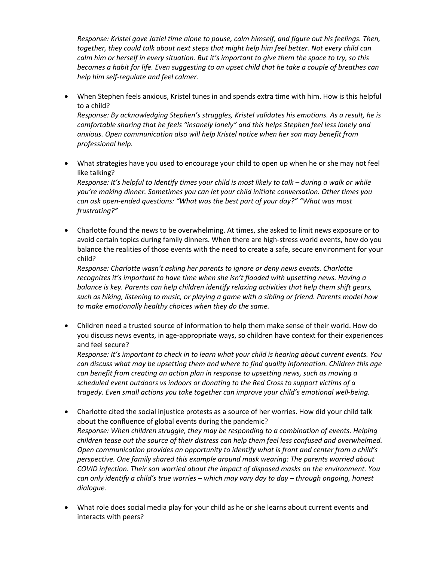*Response: Kristel gave Jaziel time alone to pause, calm himself, and figure out his feelings. Then, together, they could talk about next steps that might help him feel better. Not every child can calm him or herself in every situation. But it's important to give them the space to try, so this becomes a habit for life. Even suggesting to an upset child that he take a couple of breathes can help him self-regulate and feel calmer.* 

• When Stephen feels anxious, Kristel tunes in and spends extra time with him. How is this helpful to a child?

*Response: By acknowledging Stephen's struggles, Kristel validates his emotions. As a result, he is comfortable sharing that he feels "insanely lonely" and this helps Stephen feel less lonely and anxious. Open communication also will help Kristel notice when her son may benefit from professional help.* 

- What strategies have you used to encourage your child to open up when he or she may not feel like talking? *Response: It's helpful to Identify times your child is most likely to talk – during a walk or while you're making dinner. Sometimes you can let your child initiate conversation. Other times you can ask open-ended questions: "What was the best part of your day?" "What was most frustrating?"*
- Charlotte found the news to be overwhelming. At times, she asked to limit news exposure or to avoid certain topics during family dinners. When there are high-stress world events, how do you balance the realities of those events with the need to create a safe, secure environment for your child?

*Response: Charlotte wasn't asking her parents to ignore or deny news events. Charlotte recognizes it's important to have time when she isn't flooded with upsetting news. Having a balance is key. Parents can help children identify relaxing activities that help them shift gears, such as hiking, listening to music, or playing a game with a sibling or friend. Parents model how to make emotionally healthy choices when they do the same.*

• Children need a trusted source of information to help them make sense of their world. How do you discuss news events, in age-appropriate ways, so children have context for their experiences and feel secure?

*Response: It's important to check in to learn what your child is hearing about current events. You can discuss what may be upsetting them and where to find quality information. Children this age can benefit from creating an action plan in response to upsetting news, such as moving a scheduled event outdoors vs indoors or donating to the Red Cross to support victims of a tragedy. Even small actions you take together can improve your child's emotional well-being.* 

- Charlotte cited the social injustice protests as a source of her worries. How did your child talk about the confluence of global events during the pandemic? *Response: When children struggle, they may be responding to a combination of events. Helping children tease out the source of their distress can help them feel less confused and overwhelmed. Open communication provides an opportunity to identify what is front and center from a child's perspective. One family shared this example around mask wearing: The parents worried about COVID infection. Their son worried about the impact of disposed masks on the environment. You can only identify a child's true worries – which may vary day to day – through ongoing, honest dialogue.*
- What role does social media play for your child as he or she learns about current events and interacts with peers?